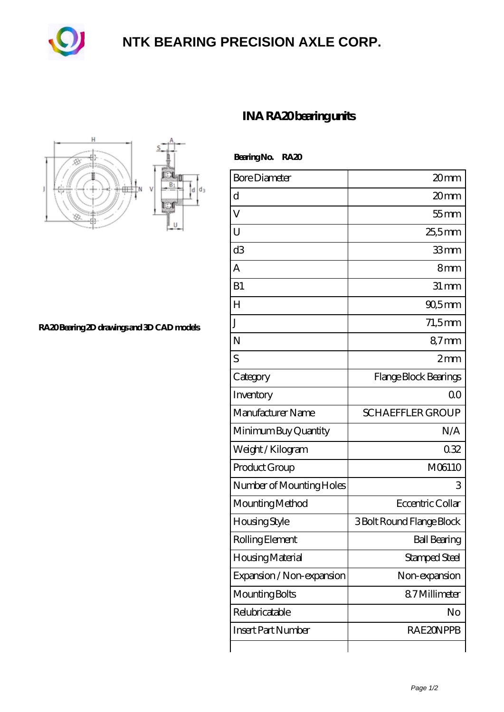

## **[NTK BEARING PRECISION AXLE CORP.](https://m.sitiosdeoyp.com)**



**[RA20 Bearing 2D drawings and 3D CAD models](https://m.sitiosdeoyp.com/pic-425865.html)**

## **[INA RA20 bearing units](https://m.sitiosdeoyp.com/be-425865-ina-ra20-bearing-units.html)**

 **Bearing No. RA20**

| <b>Bore Diameter</b>      | 20mm                      |
|---------------------------|---------------------------|
| d                         | 20mm                      |
| V                         | $55$ mm                   |
| U                         | 25,5mm                    |
| d3                        | 33mm                      |
| A                         | 8mm                       |
| B1                        | $31 \, \text{mm}$         |
| $H_{\rm}$                 | 90,5mm                    |
| J                         | $71,5$ mm                 |
| N                         | 87mm                      |
| S                         | 2mm                       |
| Category                  | Flange Block Bearings     |
| Inventory                 | 0 <sup>0</sup>            |
| Manufacturer Name         | <b>SCHAEFFLER GROUP</b>   |
| Minimum Buy Quantity      | N/A                       |
| Weight/Kilogram           | 032                       |
| Product Group             | M06110                    |
| Number of Mounting Holes  | 3                         |
| Mounting Method           | Eccentric Collar          |
| Housing Style             | 3 Bolt Round Flange Block |
| Rolling Element           | <b>Ball Bearing</b>       |
| Housing Material          | Stamped Steel             |
| Expansion / Non-expansion | Non-expansion             |
| Mounting Bolts            | 87Millimeter              |
| Relubricatable            | No                        |
| <b>Insert Part Number</b> | <b>RAE2ONPPB</b>          |
|                           |                           |